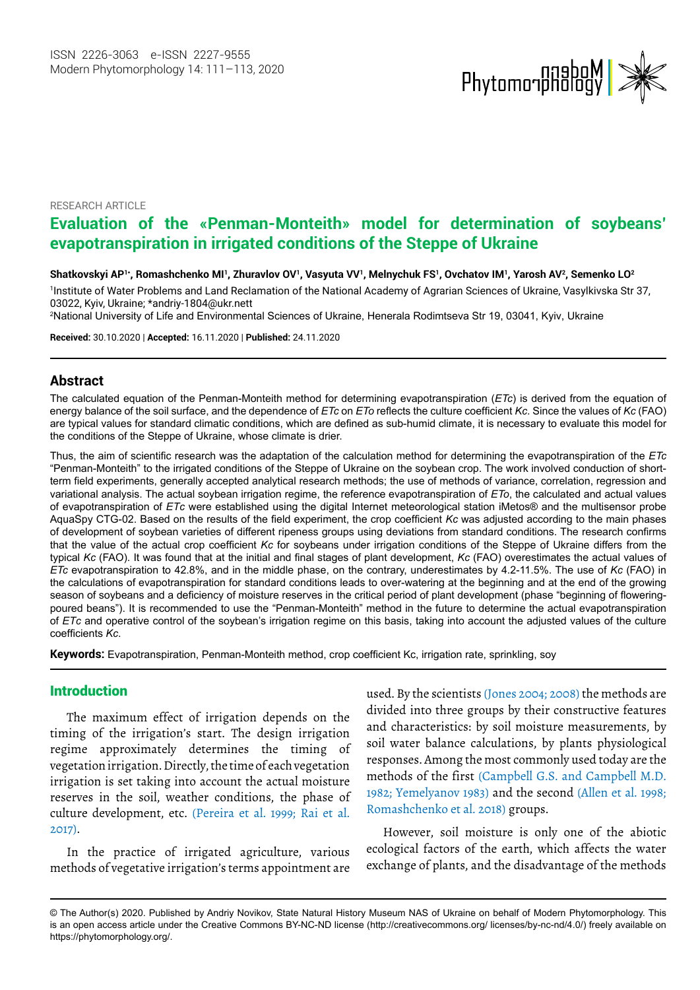

RESEARCH ARTICLE

# **Evaluation of the «Penman-Monteith» model for determination of soybeans' evapotranspiration in irrigated conditions of the Steppe of Ukraine**

**Shatkovskyi AP1\*, Romashchenko MI1 , Zhuravlov OV1 , Vasyuta VV1 , Melnychuk FS1 , Ovchatov IM1 , Yarosh AV2 , Semenko LO2**

1 Institute of Water Problems and Land Reclamation of the National Academy of Agrarian Sciences of Ukraine, Vasylkivska Str 37, 03022, Kyiv, Ukraine; \*andriy-1804@ukr.net[t](E:\Tushar Journals\MP\MP-Vol14.2\MP-Vol14-2_W\mp-20-8259-1602155886 Q1 APP.docx\rogachv@ukr.net)

2 National University of Life and Environmental Sciences of Ukraine, Henerala Rodimtseva Str 19, 03041, Kyiv, Ukraine

**Received:** 30.10.2020 | **Accepted:** 16.11.2020 | **Published:** 24.11.2020

### **Abstract**

The calculated equation of the Penman-Monteith method for determining evapotranspiration (*ETc*) is derived from the equation of energy balance of the soil surface, and the dependence of *ETc* on *ETo* reflects the culture coefficient *Kc*. Since the values of *Kc* (FAO) are typical values for standard climatic conditions, which are defined as sub-humid climate, it is necessary to evaluate this model for the conditions of the Steppe of Ukraine, whose climate is drier.

Thus, the aim of scientific research was the adaptation of the calculation method for determining the evapotranspiration of the *ETc* "Penman-Monteith" to the irrigated conditions of the Steppe of Ukraine on the soybean crop. The work involved conduction of shortterm field experiments, generally accepted analytical research methods; the use of methods of variance, correlation, regression and variational analysis. The actual soybean irrigation regime, the reference evapotranspiration of *ETo*, the calculated and actual values of evapotranspiration of *ETс* were established using the digital Internet meteorological station iMetos® and the multisensor probe AquaSpy CTG-02. Based on the results of the field experiment, the crop coefficient *Kc* was adjusted according to the main phases of development of soybean varieties of different ripeness groups using deviations from standard conditions. The research confirms that the value of the actual crop coefficient *Kc* for soybeans under irrigation conditions of the Steppe of Ukraine differs from the typical *Kc* (FAO). It was found that at the initial and final stages of plant development, *Kc* (FAO) overestimates the actual values of *ETc* evapotranspiration to 42.8%, and in the middle phase, on the contrary, underestimates by 4.2-11.5%. The use of *Kc* (FAO) in the calculations of evapotranspiration for standard conditions leads to over-watering at the beginning and at the end of the growing season of soybeans and a deficiency of moisture reserves in the critical period of plant development (phase "beginning of floweringpoured beans"). It is recommended to use the "Penman-Monteith" method in the future to determine the actual evapotranspiration of *ETс* and operative control of the soybean's irrigation regime on this basis, taking into account the adjusted values of the culture coefficients *Kc*.

**Keywords:** Evapotranspiration, Penman-Monteith method, crop coefficient Kc, irrigation rate, sprinkling, soy

#### **Introduction**

The maximum effect of irrigation depends on the timing of the irrigation's start. The design irrigation regime approximately determines the timing of vegetation irrigation. Directly, the time of each vegetation irrigation is set taking into account the actual moisture reserves in the soil, weather conditions, the phase of culture development, etc. (Pereira et al. 1999; Rai et al. 2017).

In the practice of irrigated agriculture, various methods of vegetative irrigation's terms appointment are used. By the scientists (Jones 2004; 2008) the methods are divided into three groups by their constructive features and characteristics: by soil moisture measurements, by soil water balance calculations, by plants physiological responses. Among the most commonly used today are the methods of the first (Campbell G.S. and Campbell M.D. 1982; Yemelyanov 1983) and the second (Allen et al. 1998; Romashchenko et al. 2018) groups.

However, soil moisture is only one of the abiotic ecological factors of the earth, which affects the water exchange of plants, and the disadvantage of the methods

<sup>©</sup> The Author(s) 2020. Published by Andriy Novikov, State Natural History Museum NAS of Ukraine on behalf of Modern Phytomorphology. This is an open access article under the Creative Commons BY-NC-ND license (http://creativecommons.org/ licenses/by-nc-nd/4.0/) freely available on https://phytomorphology.org/.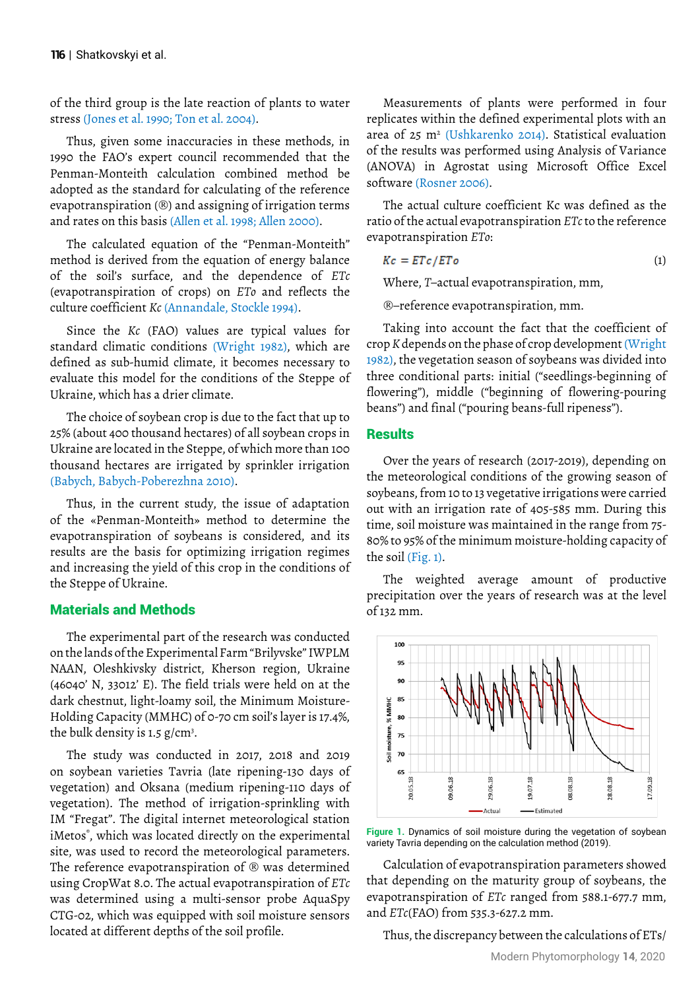of the third group is the late reaction of plants to water stress (Jones et al. 1990; Ton et al. 2004).

Thus, given some inaccuracies in these methods, in 1990 the FAO's expert council recommended that the Penman-Monteith calculation combined method be adopted as the standard for calculating of the reference evapotranspiration  $(\mathbb{D})$  and assigning of irrigation terms and rates on this basis (Allen et al. 1998; Allen 2000).

The calculated equation of the "Penman-Monteith" method is derived from the equation of energy balance of the soil's surface, and the dependence of *ETc* (evapotranspiration of crops) on *ETo* and reflects the culture coefficient *Kc* (Annandale, Stockle 1994).

Since the *Kc* (FAO) values are typical values for standard climatic conditions (Wright 1982), which are defined as sub-humid climate, it becomes necessary to evaluate this model for the conditions of the Steppe of Ukraine, which has a drier climate.

The choice of soybean crop is due to the fact that up to 25% (about 400 thousand hectares) of all soybean crops in Ukraine are located in the Steppe, of which more than 100 thousand hectares are irrigated by sprinkler irrigation (Babych, Babych-Poberezhna 2010).

Thus, in the current study, the issue of adaptation of the «Penman-Monteith» method to determine the evapotranspiration of soybeans is considered, and its results are the basis for optimizing irrigation regimes and increasing the yield of this crop in the conditions of the Steppe of Ukraine.

## Materials and Methods

The experimental part of the research was conducted on the lands of the Experimental Farm "Brilyvske" IWPLM NAAN, Oleshkivsky district, Kherson region, Ukraine (46040' N, 33012' E). The field trials were held on at the dark chestnut, light-loamy soil, the Minimum Moisture-Holding Capacity (MMHC) of 0-70 cm soil's layer is 17.4%, the bulk density is  $1.5 \text{ g/cm}^3$ .

The study was conducted in 2017, 2018 and 2019 on soybean varieties Tavria (late ripening-130 days of vegetation) and Oksana (medium ripening-110 days of vegetation). The method of irrigation-sprinkling with IM "Fregat". The digital internet meteorological station iMetos® , which was located directly on the experimental site, was used to record the meteorological parameters. The reference evapotranspiration of  $\mathcal{B}$  was determined using CropWat 8.0. The actual evapotranspiration of *ETc* was determined using a multi-sensor probe AquaSpy CTG-02, which was equipped with soil moisture sensors located at different depths of the soil profile.

Measurements of plants were performed in four replicates within the defined experimental plots with an area of 25 m2 (Ushkarenko 2014). Statistical evaluation of the results was performed using Analysis of Variance (ANOVA) in Agrostat using Microsoft Office Excel software (Rosner 2006).

The actual culture coefficient Kc was defined as the ratio of the actual evapotranspiration *ETc* to the reference evapotranspiration *ETo*:

$$
Kc = ETc/ETo \tag{1}
$$

Where, *T*–actual evapotranspiration, mm,

–reference evapotranspiration, mm.

Taking into account the fact that the coefficient of crop *K* depends on the phase of crop development (Wright 1982), the vegetation season of soybeans was divided into three conditional parts: initial ("seedlings-beginning of flowering"), middle ("beginning of flowering-pouring beans") and final ("pouring beans-full ripeness").

# **Results**

Over the years of research (2017-2019), depending on the meteorological conditions of the growing season of soybeans, from 10 to 13 vegetative irrigations were carried out with an irrigation rate of 405-585 mm. During this time, soil moisture was maintained in the range from 75- 80% to 95% of the minimum moisture-holding capacity of the soil (Fig. 1).

The weighted average amount of productive precipitation over the years of research was at the level of 132 mm.





Calculation of evapotranspiration parameters showed that depending on the maturity group of soybeans, the evapotranspiration of *ETc* ranged from 588.1-677.7 mm, and *ETc*(FAO) from 535.3-627.2 mm.

Thus, the discrepancy between the calculations of ETs/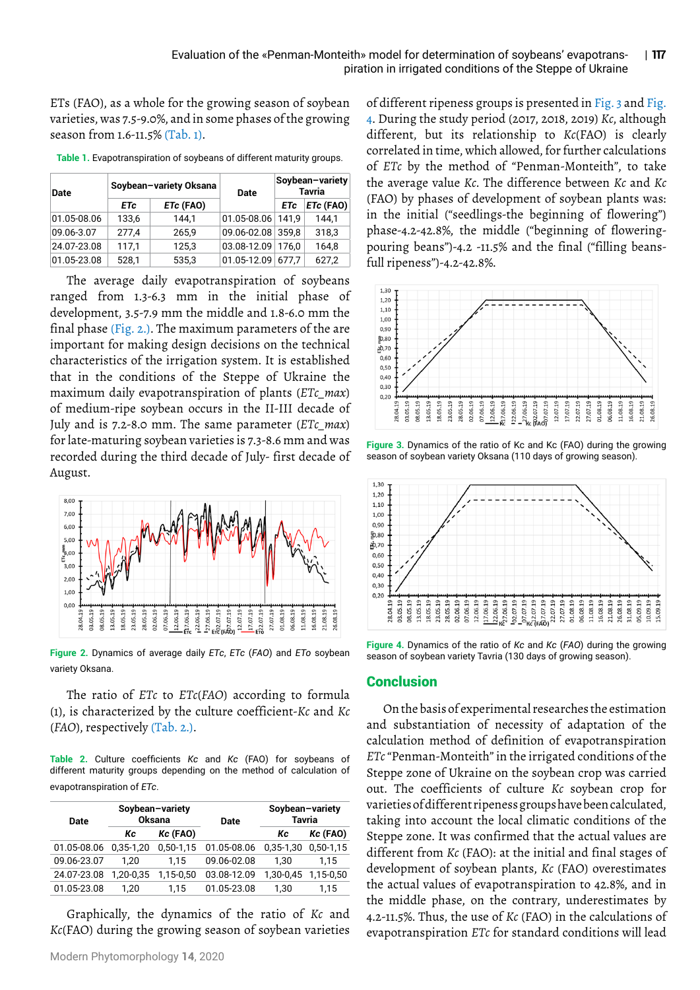ETs (FAO), as a whole for the growing season of soybean varieties, was 7.5-9.0%, and in some phases of the growing season from 1.6-11.5% (Tab. 1).

| <b>Date</b> | Soybean-variety Oksana |           | Date              | Soybean-variety<br><b>Tavria</b> |             |
|-------------|------------------------|-----------|-------------------|----------------------------------|-------------|
|             | <b>ETc</b>             | ETc (FAO) |                   | <b>ETc</b>                       | $ETc$ (FAO) |
| 01.05-08.06 | 133,6                  | 144.1     | 01.05-08.06 141,9 |                                  | 144,1       |
| 09.06-3.07  | 277,4                  | 265,9     | 09.06-02.08 359,8 |                                  | 318,3       |
| 24.07-23.08 | 117,1                  | 125,3     | 03.08-12.09 176,0 |                                  | 164,8       |
| 01.05-23.08 | 528,1                  | 535,3     | 01.05-12.09       | 677.7                            | 627,2       |

**Table 1.** Evapotranspiration of soybeans of different maturity groups.

The average daily evapotranspiration of soybeans ranged from 1.3-6.3 mm in the initial phase of development, 3.5-7.9 mm the middle and 1.8-6.0 mm the final phase (Fig. 2.). The maximum parameters of the are important for making design decisions on the technical characteristics of the irrigation system. It is established that in the conditions of the Steppe of Ukraine the maximum daily evapotranspiration of plants (*ETc\_max*) of medium-ripe soybean occurs in the II-III decade of July and is 7.2-8.0 mm. The same parameter (*ETc\_max*) for late-maturing soybean varieties is 7.3-8.6 mm and was recorded during the third decade of July- first decade of August.



**Figure 2.** Dynamics of average daily *ETc*, *ETc* (*FAO*) and *ETo* soybean variety Oksana.

The ratio of *ETc* to *ETc*(*FAO*) according to formula (1), is characterized by the culture coefficient-*Kc* and *Kc* (*FAO*), respectively (Tab. 2.).

**Table 2.** Culture coefficients *Kc* and *Kc* (FAO) for soybeans of different maturity groups depending on the method of calculation of evapotranspiration of *ETc*.

| Date        | Soybean-variety<br><b>Oksana</b> |               | Date        | Soybean-variety<br><b>Tavria</b> |               |
|-------------|----------------------------------|---------------|-------------|----------------------------------|---------------|
|             | Кc                               | Kc (FAO)      |             | Кc                               | Kc (FAO)      |
| 01.05-08.06 | $0.35 - 1.20$                    | $0.50 - 1.15$ | 01.05-08.06 | 0,35-1,30                        | $0.50 - 1.15$ |
| 09.06-23.07 | 1.20                             | 1.15          | 09.06-02.08 | 1.30                             | 1.15          |
| 24.07-23.08 | 1.20-0.35                        | 1,15-0,50     | 03.08-12.09 | 1,30-0,45                        | 1,15-0,50     |
| 01.05-23.08 | 1.20                             | 1.15          | 01.05-23.08 | 1.30                             | 1.15          |
|             |                                  |               |             |                                  |               |

Graphically, the dynamics of the ratio of *Kc* and *Kc*(FAO) during the growing season of soybean varieties

Modern Phytomorphology **14**, 2020

of different ripeness groups is presented in Fig. 3 and Fig. 4. During the study period (2017, 2018, 2019) *Kc*, although different, but its relationship to *Kc*(FAO) is clearly correlated in time, which allowed, for further calculations of *ETc* by the method of "Penman-Monteith", to take the average value *Kc*. The difference between *Kc* and *Kc*  (FAO) by phases of development of soybean plants was: in the initial ("seedlings-the beginning of flowering") phase-4.2-42.8%, the middle ("beginning of floweringpouring beans")-4.2 -11.5% and the final ("filling beansfull ripeness")-4.2-42.8%.



**Figure 3.** Dynamics of the ratio of Kc and Kc (FAO) during the growing season of soybean variety Oksana (110 days of growing season).



**Figure 4.** Dynamics of the ratio of *Kc* and *Kc* (*FAO*) during the growing season of soybean variety Tavria (130 days of growing season).

#### **Conclusion**

On the basis of experimental researches the estimation and substantiation of necessity of adaptation of the calculation method of definition of evapotranspiration *ETc* "Penman-Monteith" in the irrigated conditions of the Steppe zone of Ukraine on the soybean crop was carried out. The coefficients of culture *Kc* soybean crop for varieties of different ripeness groups have been calculated, taking into account the local climatic conditions of the Steppe zone. It was confirmed that the actual values are different from *Kc* (FAO): at the initial and final stages of development of soybean plants, *Kc* (FAO) overestimates the actual values of evapotranspiration to 42.8%, and in the middle phase, on the contrary, underestimates by 4.2-11.5%. Thus, the use of *Kc* (FAO) in the calculations of evapotranspiration *ETc* for standard conditions will lead